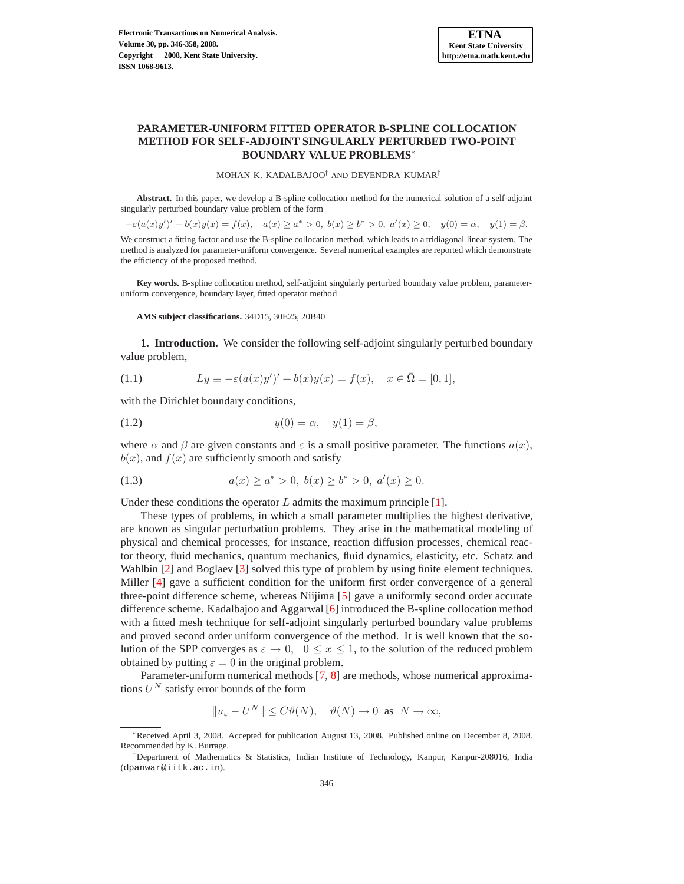# **PARAMETER-UNIFORM FITTED OPERATOR B-SPLINE COLLOCATION METHOD FOR SELF-ADJOINT SINGULARLY PERTURBED TWO-POINT BOUNDARY VALUE PROBLEMS**<sup>∗</sup>

MOHAN K. KADALBAJOO† AND DEVENDRA KUMAR†

**Abstract.** In this paper, we develop a B-spline collocation method for the numerical solution of a self-adjoint singularly perturbed boundary value problem of the form

 $-\varepsilon(a(x)y')' + b(x)y(x) = f(x), \quad a(x) \ge a^* > 0, \ b(x) \ge b^* > 0, \ a'(x) \ge 0, \quad y(0) = \alpha, \quad y(1) = \beta.$ We construct a fitting factor and use the B-spline collocation method, which leads to a tridiagonal linear system. The method is analyzed for parameter-uniform convergence. Several numerical examples are reported which demonstrate the efficiency of the proposed method.

**Key words.** B-spline collocation method, self-adjoint singularly perturbed boundary value problem, parameteruniform convergence, boundary layer, fitted operator method

#### **AMS subject classifications.** 34D15, 30E25, 20B40

**1. Introduction.** We consider the following self-adjoint singularly perturbed boundary value problem,

<span id="page-0-0"></span>(1.1) 
$$
Ly \equiv -\varepsilon (a(x)y')' + b(x)y(x) = f(x), \quad x \in \bar{\Omega} = [0,1],
$$

with the Dirichlet boundary conditions,

<span id="page-0-1"></span>(1.2) 
$$
y(0) = \alpha, \quad y(1) = \beta,
$$

where  $\alpha$  and  $\beta$  are given constants and  $\varepsilon$  is a small positive parameter. The functions  $a(x)$ ,  $b(x)$ , and  $f(x)$  are sufficiently smooth and satisfy

(1.3) 
$$
a(x) \ge a^* > 0, b(x) \ge b^* > 0, a'(x) \ge 0.
$$

Under these conditions the operator  $L$  admits the maximum principle [\[1\]](#page-11-0).

These types of problems, in which a small parameter multiplies the highest derivative, are known as singular perturbation problems. They arise in the mathematical modeling of physical and chemical processes, for instance, reaction diffusion processes, chemical reactor theory, fluid mechanics, quantum mechanics, fluid dynamics, elasticity, etc. Schatz and Wahlbin [\[2\]](#page-11-1) and Boglaev [\[3\]](#page-11-2) solved this type of problem by using finite element techniques. Miller [\[4\]](#page-11-3) gave a sufficient condition for the uniform first order convergence of a general three-point difference scheme, whereas Niijima [\[5\]](#page-11-4) gave a uniformly second order accurate difference scheme. Kadalbajoo and Aggarwal [\[6\]](#page-11-5) introduced the B-spline collocation method with a fitted mesh technique for self-adjoint singularly perturbed boundary value problems and proved second order uniform convergence of the method. It is well known that the solution of the SPP converges as  $\varepsilon \to 0$ ,  $0 \le x \le 1$ , to the solution of the reduced problem obtained by putting  $\varepsilon = 0$  in the original problem.

Parameter-uniform numerical methods [\[7,](#page-12-0) [8\]](#page-12-1) are methods, whose numerical approximations  $U^N$  satisfy error bounds of the form

$$
||u_{\varepsilon} - U^N|| \le C\vartheta(N), \quad \vartheta(N) \to 0 \text{ as } N \to \infty,
$$

<sup>∗</sup>Received April 3, 2008. Accepted for publication August 13, 2008. Published online on December 8, 2008. Recommended by K. Burrage.

<sup>†</sup>Department of Mathematics & Statistics, Indian Institute of Technology, Kanpur, Kanpur-208016, India (dpanwar@iitk.ac.in).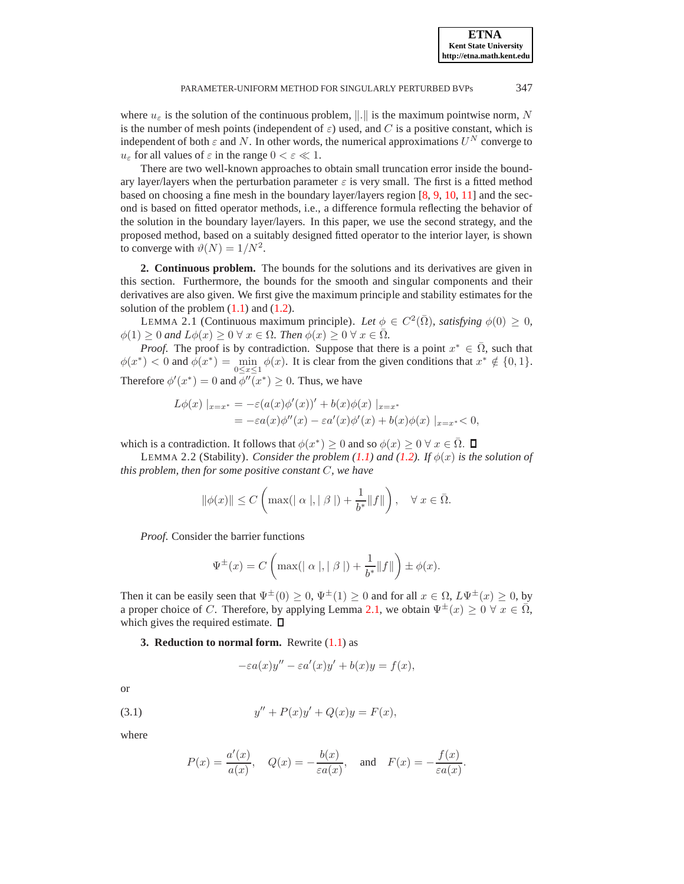where  $u_{\varepsilon}$  is the solution of the continuous problem,  $\|\cdot\|$  is the maximum pointwise norm, N is the number of mesh points (independent of  $\varepsilon$ ) used, and C is a positive constant, which is independent of both  $\varepsilon$  and N. In other words, the numerical approximations  $U^N$  converge to  $u_{\varepsilon}$  for all values of  $\varepsilon$  in the range  $0 < \varepsilon \ll 1$ .

There are two well-known approaches to obtain small truncation error inside the boundary layer/layers when the perturbation parameter  $\varepsilon$  is very small. The first is a fitted method based on choosing a fine mesh in the boundary layer/layers region [\[8,](#page-12-1) [9,](#page-12-2) [10,](#page-12-3) [11\]](#page-12-4) and the second is based on fitted operator methods, i.e., a difference formula reflecting the behavior of the solution in the boundary layer/layers. In this paper, we use the second strategy, and the proposed method, based on a suitably designed fitted operator to the interior layer, is shown to converge with  $\vartheta(N) = 1/N^2$ .

**2. Continuous problem.** The bounds for the solutions and its derivatives are given in this section. Furthermore, the bounds for the smooth and singular components and their derivatives are also given. We first give the maximum principle and stability estimates for the solution of the problem  $(1.1)$  and  $(1.2)$ .

<span id="page-1-0"></span>LEMMA 2.1 (Continuous maximum principle). Let  $\phi \in C^2(\overline{\Omega})$ , satisfying  $\phi(0) \ge 0$ ,  $\phi(1) \geq 0$  and  $L\phi(x) \geq 0$   $\forall x \in \Omega$ *. Then*  $\phi(x) \geq 0$   $\forall x \in \overline{\Omega}$ *.* 

*Proof.* The proof is by contradiction. Suppose that there is a point  $x^* \in \overline{\Omega}$ , such that  $\phi(x^*) < 0$  and  $\phi(x^*) = \min_{0 \le x \le 1} \phi(x)$ . It is clear from the given conditions that  $x^* \notin \{0, 1\}$ . Therefore  $\phi'(x^*) = 0$  and  $\phi''(x^*) \ge 0$ . Thus, we have

$$
L\phi(x) |_{x=x^*} = -\varepsilon (a(x)\phi'(x))' + b(x)\phi(x) |_{x=x^*}
$$
  
=  $-\varepsilon a(x)\phi''(x) - \varepsilon a'(x)\phi'(x) + b(x)\phi(x) |_{x=x^*} < 0,$ 

which is a contradiction. It follows that  $\phi(x^*) \ge 0$  and so  $\phi(x) \ge 0 \ \forall x \in \overline{\Omega}$ .

LEMMA 2.2 (Stability). *Consider the problem [\(1.1\)](#page-0-0)* and [\(1.2\)](#page-0-1). If  $\phi(x)$  is the solution of *this problem, then for some positive constant* C*, we have*

$$
\|\phi(x)\| \le C\left(\max(|\alpha|, |\beta|) + \frac{1}{b^*} \|f\|\right), \quad \forall x \in \overline{\Omega}.
$$

*Proof*. Consider the barrier functions

$$
\Psi^{\pm}(x) = C \left( \max(|\alpha|, |\beta|) + \frac{1}{b^*} ||f|| \right) \pm \phi(x).
$$

Then it can be easily seen that  $\Psi^{\pm}(0) \geq 0$ ,  $\Psi^{\pm}(1) \geq 0$  and for all  $x \in \Omega$ ,  $L\Psi^{\pm}(x) \geq 0$ , by a proper choice of C. Therefore, by applying Lemma [2.1,](#page-1-0) we obtain  $\Psi^{\pm}(x) > 0 \ \forall \ x \in \overline{\Omega}$ , which gives the required estimate.  $\square$ 

**3. Reduction to normal form.** Rewrite  $(1.1)$  as

$$
-\varepsilon a(x)y'' - \varepsilon a'(x)y' + b(x)y = f(x),
$$

or

(3.1) 
$$
y'' + P(x)y' + Q(x)y = F(x),
$$

where

<span id="page-1-1"></span>
$$
P(x) = \frac{a'(x)}{a(x)}, \quad Q(x) = -\frac{b(x)}{\varepsilon a(x)}, \quad \text{and} \quad F(x) = -\frac{f(x)}{\varepsilon a(x)}.
$$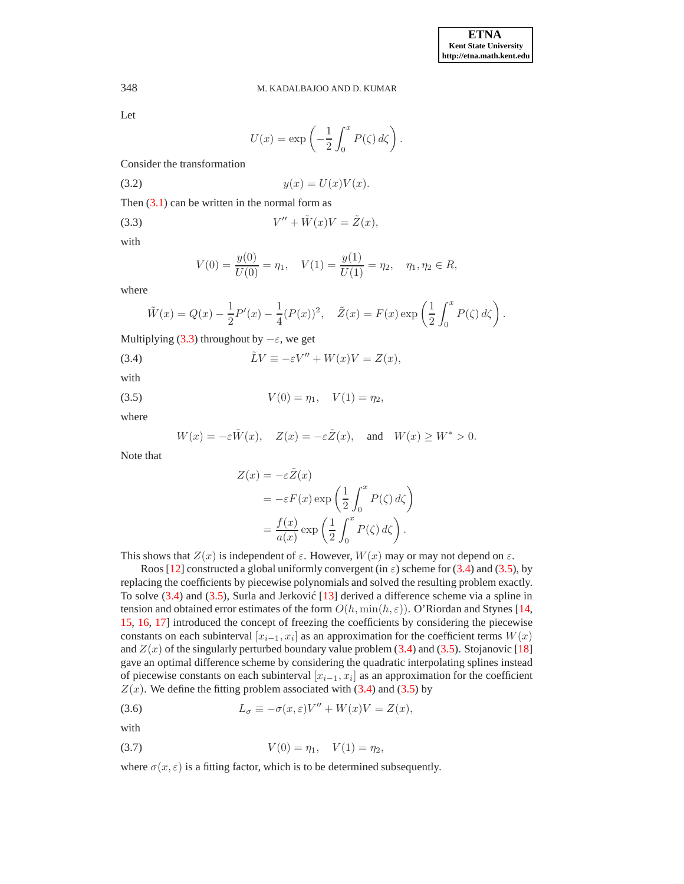Let

$$
U(x) = \exp\left(-\frac{1}{2} \int_0^x P(\zeta) d\zeta\right).
$$

Consider the transformation

$$
(3.2) \t\t y(x) = U(x)V(x).
$$

Then  $(3.1)$  can be written in the normal form as

$$
(3.3) \tV'' + \tilde{W}(x)V = \tilde{Z}(x),
$$

with

<span id="page-2-0"></span>
$$
V(0) = \frac{y(0)}{U(0)} = \eta_1, \quad V(1) = \frac{y(1)}{U(1)} = \eta_2, \quad \eta_1, \eta_2 \in R,
$$

where

$$
\tilde{W}(x) = Q(x) - \frac{1}{2}P'(x) - \frac{1}{4}(P(x))^2
$$
,  $\tilde{Z}(x) = F(x) \exp\left(\frac{1}{2} \int_0^x P(\zeta) d\zeta\right)$ .

Multiplying [\(3.3\)](#page-2-0) throughout by  $-\varepsilon$ , we get

<span id="page-2-1"></span>(3.4) 
$$
\tilde{L}V \equiv -\varepsilon V'' + W(x)V = Z(x),
$$

with

(3.5)  $V(0) = \eta_1, \quad V(1) = \eta_2,$ 

where

<span id="page-2-2"></span>
$$
W(x) = -\varepsilon \tilde{W}(x), \quad Z(x) = -\varepsilon \tilde{Z}(x), \quad \text{and} \quad W(x) \ge W^* > 0.
$$

Note that

$$
Z(x) = -\varepsilon \tilde{Z}(x)
$$
  
=  $-\varepsilon F(x) \exp\left(\frac{1}{2} \int_0^x P(\zeta) d\zeta\right)$   
=  $\frac{f(x)}{a(x)} \exp\left(\frac{1}{2} \int_0^x P(\zeta) d\zeta\right).$ 

This shows that  $Z(x)$  is independent of  $\varepsilon$ . However,  $W(x)$  may or may not depend on  $\varepsilon$ .

Roos [\[12\]](#page-12-5) constructed a global uniformly convergent (in  $\varepsilon$ ) scheme for [\(3.4\)](#page-2-1) and [\(3.5\)](#page-2-2), by replacing the coefficients by piecewise polynomials and solved the resulting problem exactly. To solve  $(3.4)$  and  $(3.5)$ , Surla and Jerković  $[13]$  derived a difference scheme via a spline in tension and obtained error estimates of the form  $O(h, \min(h, \varepsilon))$ . O'Riordan and Stynes [\[14,](#page-12-7) [15,](#page-12-8) [16,](#page-12-9) [17\]](#page-12-10) introduced the concept of freezing the coefficients by considering the piecewise constants on each subinterval  $[x_{i-1}, x_i]$  as an approximation for the coefficient terms  $W(x)$ and  $Z(x)$  of the singularly perturbed boundary value problem [\(3.4\)](#page-2-1) and [\(3.5\)](#page-2-2). Stojanovic [\[18\]](#page-12-11) gave an optimal difference scheme by considering the quadratic interpolating splines instead of piecewise constants on each subinterval  $[x_{i-1}, x_i]$  as an approximation for the coefficient  $Z(x)$ . We define the fitting problem associated with [\(3.4\)](#page-2-1) and [\(3.5\)](#page-2-2) by

<span id="page-2-3"></span>(3.6) 
$$
L_{\sigma} \equiv -\sigma(x,\varepsilon)V'' + W(x)V = Z(x),
$$

with

<span id="page-2-4"></span>(3.7) 
$$
V(0) = \eta_1, \quad V(1) = \eta_2,
$$

where  $\sigma(x, \varepsilon)$  is a fitting factor, which is to be determined subsequently.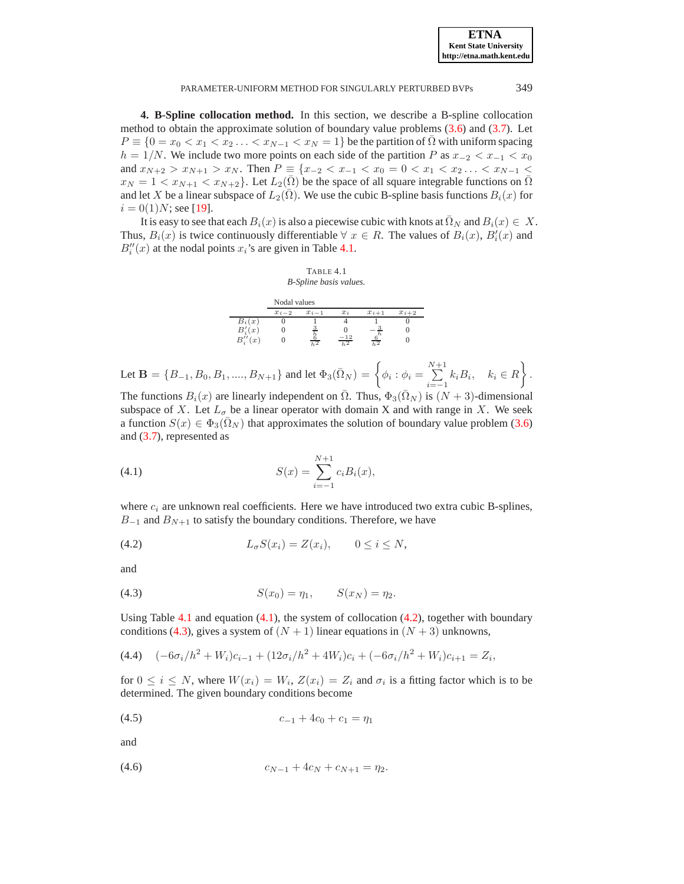**4. B-Spline collocation method.** In this section, we describe a B-spline collocation method to obtain the approximate solution of boundary value problems [\(3.6\)](#page-2-3) and [\(3.7\)](#page-2-4). Let  $P \equiv \{0 = x_0 < x_1 < x_2 \ldots < x_{N-1} < x_N = 1\}$  be the partition of  $\Omega$  with uniform spacing  $h = 1/N$ . We include two more points on each side of the partition P as  $x_{-2} < x_{-1} < x_0$ and  $x_{N+2} > x_{N+1} > x_N$ . Then  $P \equiv \{x_{-2} < x_{-1} < x_0 = 0 < x_1 < x_2 \ldots < x_{N-1} < x_N \}$  $x_N = 1 < x_{N+1} < x_{N+2}$ . Let  $L_2(\Omega)$  be the space of all square integrable functions on  $\Omega$ and let X be a linear subspace of  $L_2(\overline{\Omega})$ . We use the cubic B-spline basis functions  $B_i(x)$  for  $i = 0(1)N$ ; see [\[19\]](#page-12-12).

It is easy to see that each  $B_i(x)$  is also a piecewise cubic with knots at  $\overline{\Omega}_N$  and  $B_i(x) \in X$ . Thus,  $B_i(x)$  is twice continuously differentiable  $\forall x \in R$ . The values of  $B_i(x)$ ,  $B'_i(x)$  and  $B''_i(x)$  at the nodal points  $x_i$ 's are given in Table [4.1.](#page-8-0)



Let  $\mathbf{B} = \{B_{-1}, B_0, B_1, ..., B_{N+1}\}\$  and let  $\Phi_3(\bar{\Omega}_N) = \begin{cases} \phi_i : \phi_i = \sum_{i=1}^{N+1} \phi_i \end{cases}$  $\sum_{i=-1}^{N+1} k_i B_i, \quad k_i \in R$ .

The functions  $B_i(x)$  are linearly independent on  $\overline{\Omega}$ . Thus,  $\Phi_3(\overline{\Omega}_N)$  is  $(N+3)$ -dimensional subspace of X. Let  $L_{\sigma}$  be a linear operator with domain X and with range in X. We seek a function  $S(x) \in \Phi_3(\overline{\Omega}_N)$  that approximates the solution of boundary value problem [\(3.6\)](#page-2-3) and [\(3.7\)](#page-2-4), represented as

<span id="page-3-0"></span>(4.1) 
$$
S(x) = \sum_{i=-1}^{N+1} c_i B_i(x),
$$

where  $c_i$  are unknown real coefficients. Here we have introduced two extra cubic B-splines,  $B_{-1}$  and  $B_{N+1}$  to satisfy the boundary conditions. Therefore, we have

<span id="page-3-1"></span>
$$
(4.2) \t\t\t L_{\sigma}S(x_i) = Z(x_i), \t 0 \le i \le N,
$$

and

<span id="page-3-2"></span>(4.3) 
$$
S(x_0) = \eta_1, \qquad S(x_N) = \eta_2.
$$

Using Table [4.1](#page-8-0) and equation  $(4.1)$ , the system of collocation  $(4.2)$ , together with boundary conditions [\(4.3\)](#page-3-2), gives a system of  $(N + 1)$  linear equations in  $(N + 3)$  unknowns,

<span id="page-3-3"></span>
$$
(4.4) \quad (-6\sigma_i/h^2 + W_i)c_{i-1} + (12\sigma_i/h^2 + 4W_i)c_i + (-6\sigma_i/h^2 + W_i)c_{i+1} = Z_i,
$$

for  $0 \le i \le N$ , where  $W(x_i) = W_i$ ,  $Z(x_i) = Z_i$  and  $\sigma_i$  is a fitting factor which is to be determined. The given boundary conditions become

<span id="page-3-4"></span>
$$
(4.5) \t\t\t c_{-1} + 4c_0 + c_1 = \eta_1
$$

and

<span id="page-3-5"></span>
$$
(4.6) \t\t\t c_{N-1} + 4c_N + c_{N+1} = \eta_2.
$$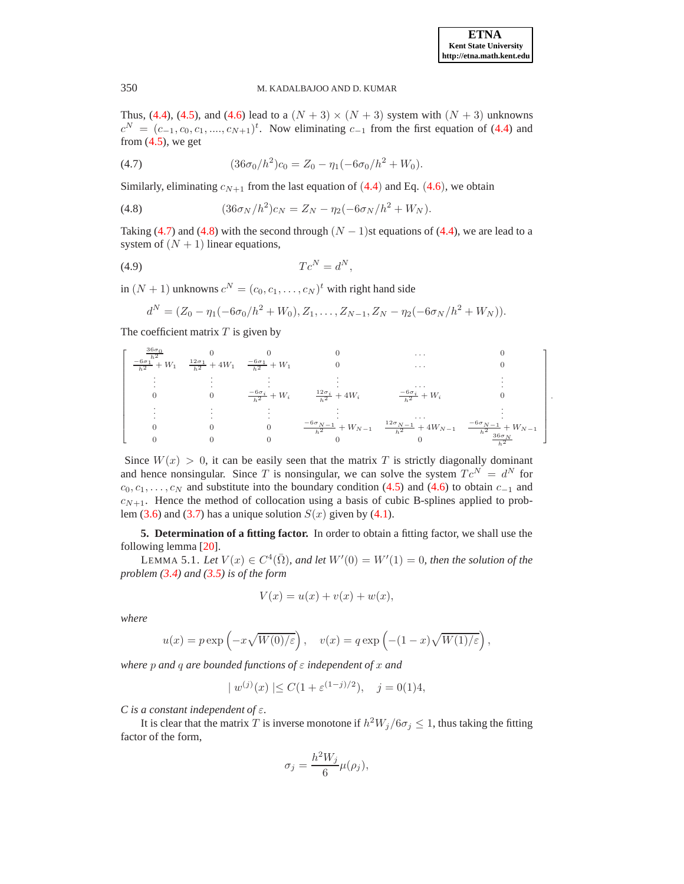.

## 350 M. KADALBAJOO AND D. KUMAR

Thus, [\(4.4\)](#page-3-3), [\(4.5\)](#page-3-4), and [\(4.6\)](#page-3-5) lead to a  $(N + 3) \times (N + 3)$  system with  $(N + 3)$  unknowns  $c^N = (c_{-1}, c_0, c_1, \ldots, c_{N+1})^t$ . Now eliminating  $c_{-1}$  from the first equation of [\(4.4\)](#page-3-3) and from  $(4.5)$ , we get

<span id="page-4-0"></span>(4.7) 
$$
(36\sigma_0/h^2)c_0 = Z_0 - \eta_1(-6\sigma_0/h^2 + W_0).
$$

Similarly, eliminating  $c_{N+1}$  from the last equation of ([4.4](#page-3-3)) and Eq. ([4.6](#page-3-5)), we obtain

<span id="page-4-1"></span>(4.8) 
$$
(36\sigma_N/h^2)c_N = Z_N - \eta_2(-6\sigma_N/h^2 + W_N).
$$

Taking [\(4.7\)](#page-4-0) and [\(4.8\)](#page-4-1) with the second through  $(N - 1)$ st equations of [\(4.4\)](#page-3-3), we are lead to a system of  $(N + 1)$  linear equations,

$$
(4.9) \tTc^N = d^N,
$$

in  $(N + 1)$  unknowns  $c^N = (c_0, c_1, \dots, c_N)^t$  with right hand side

$$
d^N = (Z_0 - \eta_1(-6\sigma_0/h^2 + W_0), Z_1, \dots, Z_{N-1}, Z_N - \eta_2(-6\sigma_N/h^2 + W_N)).
$$

The coefficient matrix  $T$  is given by

$$
\begin{bmatrix}\n\frac{36\sigma_0}{\hbar^2} & 0 & 0 & 0 & \cdots & 0 \\
-\frac{6\sigma_1^{1/2}}{\hbar^2} + W_1 & \frac{12\sigma_1}{\hbar^2} + 4W_1 & -\frac{6\sigma_1}{\hbar^2} + W_1 & 0 & & \cdots & 0 \\
\vdots & \vdots & \vdots & \vdots & & \vdots & \vdots \\
0 & 0 & \frac{-6\sigma_i}{\hbar^2} + W_i & \frac{12\sigma_i}{\hbar^2} + 4W_i & -\frac{6\sigma_i}{\hbar^2} + W_i & 0 \\
\vdots & \vdots & \vdots & \vdots & \vdots & \vdots \\
0 & 0 & 0 & -\frac{6\sigma_{N-1}}{\hbar^2} + W_{N-1} & \frac{12\sigma_{N-1}}{\hbar^2} + 4W_{N-1} & -\frac{6\sigma_{N-1}}{\hbar^2} + W_{N-1} \\
0 & 0 & 0 & 0 & 0 & 0\n\end{bmatrix}
$$

Since  $W(x) > 0$ , it can be easily seen that the matrix T is strictly diagonally dominant and hence nonsingular. Since T is nonsingular, we can solve the system  $T c^N = d^N$  for  $c_0, c_1, \ldots, c_N$  and substitute into the boundary condition [\(4.5\)](#page-3-4) and [\(4.6\)](#page-3-5) to obtain  $c_{-1}$  and  $c_{N+1}$ . Hence the method of collocation using a basis of cubic B-splines applied to prob-lem [\(3.6\)](#page-2-3) and [\(3.7\)](#page-2-4) has a unique solution  $S(x)$  given by [\(4.1\)](#page-3-0).

<span id="page-4-2"></span>**5. Determination of a fitting factor.** In order to obtain a fitting factor, we shall use the following lemma [\[20\]](#page-12-13).

LEMMA 5.1. Let  $V(x) \in C^4(\overline{\Omega})$ , and let  $W'(0) = W'(1) = 0$ , then the solution of the *problem [\(3.4\)](#page-2-1) and [\(3.5\)](#page-2-2) is of the form*

$$
V(x) = u(x) + v(x) + w(x),
$$

*where*

$$
u(x) = p \exp\left(-x\sqrt{W(0)/\varepsilon}\right), \quad v(x) = q \exp\left(-(1-x)\sqrt{W(1)/\varepsilon}\right),
$$

*where* p *and* q *are bounded functions of* ε *independent of* x *and*

$$
|w^{(j)}(x)| \le C(1 + \varepsilon^{(1-j)/2}), \quad j = 0(1)4,
$$

*C is a constant independent of* ε*.*

It is clear that the matrix T is inverse monotone if  $h^2W_j/6\sigma_j \leq 1$ , thus taking the fitting factor of the form,

$$
\sigma_j = \frac{h^2 W_j}{6} \mu(\rho_j),
$$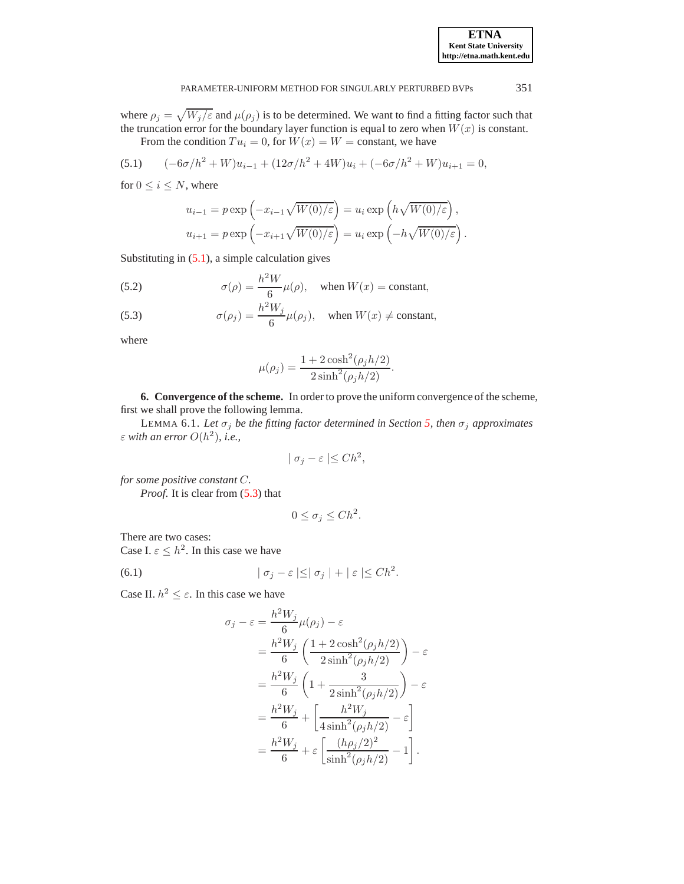where  $\rho_j = \sqrt{W_j/\varepsilon}$  and  $\mu(\rho_j)$  is to be determined. We want to find a fitting factor such that the truncation error for the boundary layer function is equal to zero when  $W(x)$  is constant.

From the condition  $Tu_i = 0$ , for  $W(x) = W = \text{constant}$ , we have

<span id="page-5-0"></span>(5.1) 
$$
(-6\sigma/h^2 + W)u_{i-1} + (12\sigma/h^2 + 4W)u_i + (-6\sigma/h^2 + W)u_{i+1} = 0,
$$

for  $0 \leq i \leq N$ , where

$$
u_{i-1} = p \exp\left(-x_{i-1}\sqrt{W(0)/\varepsilon}\right) = u_i \exp\left(h\sqrt{W(0)/\varepsilon}\right),
$$
  

$$
u_{i+1} = p \exp\left(-x_{i+1}\sqrt{W(0)/\varepsilon}\right) = u_i \exp\left(-h\sqrt{W(0)/\varepsilon}\right).
$$

Substituting in  $(5.1)$ , a simple calculation gives

<span id="page-5-1"></span>(5.2) 
$$
\sigma(\rho) = \frac{h^2 W}{6} \mu(\rho), \text{ when } W(x) = \text{constant},
$$

(5.3) 
$$
\sigma(\rho_j) = \frac{h^2 W_j}{6} \mu(\rho_j), \text{ when } W(x) \neq \text{constant},
$$

where

$$
\mu(\rho_j) = \frac{1 + 2\cosh^2(\rho_j h/2)}{2\sinh^2(\rho_j h/2)}.
$$

**6. Convergence of the scheme.** In order to prove the uniform convergence of the scheme, first we shall prove the following lemma.

LEMMA 6.1. Let  $\sigma_j$  *be the fitting factor determined in Section [5,](#page-4-2) then*  $\sigma_j$  *approximates*  $\varepsilon$  with an error  $O(h^2)$ , i.e.,

$$
| \sigma_j - \varepsilon | \leq Ch^2,
$$

*for some positive constant* C*.*

*Proof.* It is clear from  $(5.3)$  that

$$
0 \le \sigma_j \le Ch^2.
$$

There are two cases:

Case I.  $\varepsilon \leq h^2$ . In this case we have

<span id="page-5-2"></span>(6.1) 
$$
|\sigma_j - \varepsilon| \leq |\sigma_j| + |\varepsilon| \leq Ch^2.
$$

Case II.  $h^2 \leq \varepsilon$ . In this case we have

$$
\sigma_j - \varepsilon = \frac{h^2 W_j}{6} \mu(\rho_j) - \varepsilon
$$
  
= 
$$
\frac{h^2 W_j}{6} \left( \frac{1 + 2 \cosh^2(\rho_j h/2)}{2 \sinh^2(\rho_j h/2)} \right) - \varepsilon
$$
  
= 
$$
\frac{h^2 W_j}{6} \left( 1 + \frac{3}{2 \sinh^2(\rho_j h/2)} \right) - \varepsilon
$$
  
= 
$$
\frac{h^2 W_j}{6} + \left[ \frac{h^2 W_j}{4 \sinh^2(\rho_j h/2)} - \varepsilon \right]
$$
  
= 
$$
\frac{h^2 W_j}{6} + \varepsilon \left[ \frac{(h \rho_j/2)^2}{\sinh^2(\rho_j h/2)} - 1 \right].
$$

**ETNA Kent State University http://etna.math.kent.edu**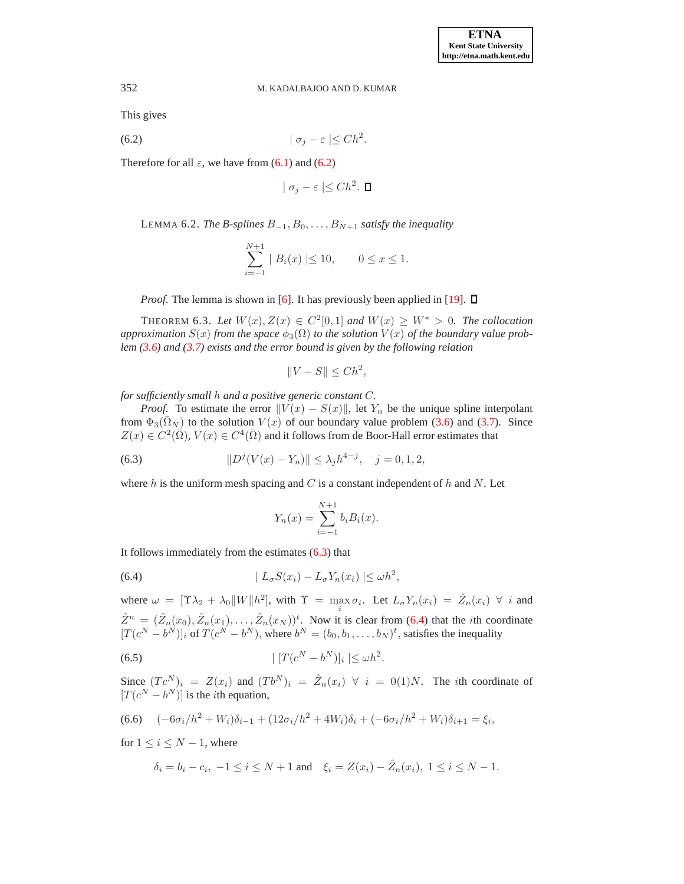This gives

<span id="page-6-0"></span>
$$
(6.2) \t\t |\sigma_j - \varepsilon| \leq Ch^2.
$$

<span id="page-6-4"></span>Therefore for all  $\varepsilon$ , we have from [\(6.1\)](#page-5-2) and [\(6.2\)](#page-6-0)

$$
| \sigma_j - \varepsilon | \leq Ch^2. \ \blacksquare
$$

LEMMA 6.2. *The B-splines*  $B_{-1}, B_0, \ldots, B_{N+1}$  *satisfy the inequality* 

$$
\sum_{i=-1}^{N+1} |B_i(x)| \le 10, \qquad 0 \le x \le 1.
$$

*Proof.* The lemma is shown in [\[6\]](#page-11-5). It has previously been applied in [\[19\]](#page-12-12).  $\Box$ 

THEOREM 6.3. Let  $W(x)$ ,  $Z(x) \in C^2[0,1]$  and  $W(x) \geq W^* > 0$ . The collocation approximation  $S(x)$  from the space  $\phi_3(\Omega)$  to the solution  $V(x)$  of the boundary value prob*lem [\(3.6\)](#page-2-3) and [\(3.7\)](#page-2-4) exists and the error bound is given by the following relation*

$$
||V - S|| \leq Ch^2,
$$

*for sufficiently small* h *and a positive generic constant* C*.*

*Proof.* To estimate the error  $||V(x) - S(x)||$ , let Y<sub>n</sub> be the unique spline interpolant from  $\Phi_3(\bar{\Omega}_N)$  to the solution  $V(x)$  of our boundary value problem [\(3.6\)](#page-2-3) and [\(3.7\)](#page-2-4). Since  $Z(x) \in C^2(\overline{\Omega}), V(x) \in C^4(\overline{\Omega})$  and it follows from de Boor-Hall error estimates that

<span id="page-6-1"></span>(6.3) 
$$
||D^{j}(V(x) - Y_n)|| \leq \lambda_j h^{4-j}, \quad j = 0, 1, 2,
$$

where  $h$  is the uniform mesh spacing and  $C$  is a constant independent of  $h$  and  $N$ . Let

$$
Y_n(x) = \sum_{i=-1}^{N+1} b_i B_i(x).
$$

It follows immediately from the estimates  $(6.3)$  that

<span id="page-6-2"></span>(6.4) 
$$
|L_{\sigma}S(x_i) - L_{\sigma}Y_n(x_i)| \leq \omega h^2,
$$

where  $\omega = [\Upsilon \lambda_2 + \lambda_0 ||W|| h^2]$ , with  $\Upsilon = \max_i \sigma_i$ . Let  $L_{\sigma} Y_n(x_i) = \hat{Z}_n(x_i) \ \forall \ i$  and  $\hat{Z}^n = (\hat{Z}_n(x_0), \hat{Z}_n(x_1), \dots, \hat{Z}_n(x_N))^t$ . Now it is clear from [\(6.4\)](#page-6-2) that the *i*th coordinate  $[T(c^N - b^N)]_i$  of  $T(c^N - b^N)$ , where  $b^N = (b_0, b_1, \dots, b_N)^t$ , satisfies the inequality

$$
(6.5) \t\t\t |[T(c^N - b^N)]_i| \le \omega h^2.
$$

Since  $(Tc^N)_i = Z(x_i)$  and  $(Tb^N)_i = \hat{Z}_n(x_i) \forall i = 0 \tag{1} N$ . The *i*th coordinate of  $[T(c^N - b^N)]$  is the *i*th equation,

<span id="page-6-3"></span>
$$
(6.6) \quad (-6\sigma_i/h^2 + W_i)\delta_{i-1} + (12\sigma_i/h^2 + 4W_i)\delta_i + (-6\sigma_i/h^2 + W_i)\delta_{i+1} = \xi_i,
$$

for  $1 \leq i \leq N-1$ , where

$$
\delta_i = b_i - c_i, -1 \le i \le N + 1
$$
 and  $\xi_i = Z(x_i) - \hat{Z}_n(x_i), 1 \le i \le N - 1$ .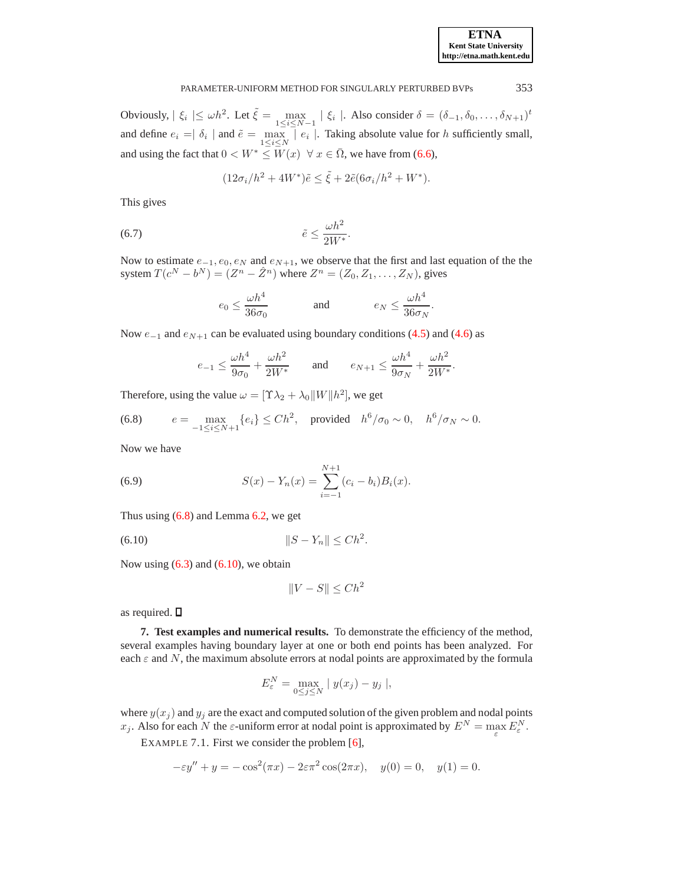Obviously,  $|\xi_i| \le \omega h^2$ . Let  $\tilde{\xi} = \max_{1 \le i \le N-1} |\xi_i|$ . Also consider  $\delta = (\delta_{-1}, \delta_0, \dots, \delta_{N+1})^t$ and define  $e_i = \delta_i \mid$  and  $\tilde{e} = \max_{1 \leq i \leq N} \mid e_i \mid$ . Taking absolute value for h sufficiently small, and using the fact that  $0 < W^* \leq W(x) \ \forall x \in \overline{\Omega}$ , we have from [\(6.6\)](#page-6-3),

$$
(12\sigma_i/h^2 + 4W^*)\tilde{e} \le \tilde{\xi} + 2\tilde{e}(6\sigma_i/h^2 + W^*).
$$

This gives

$$
(6.7) \qquad \qquad \tilde{e} \le \frac{\omega h^2}{2W^*}.
$$

Now to estimate  $e_{-1}, e_0, e_N$  and  $e_{N+1}$ , we observe that the first and last equation of the the system  $T(c^N - b^N) = (Z^n - \hat{Z}^n)$  where  $Z^n = (Z_0, Z_1, \dots, Z_N)$ , gives

$$
e_0 \le \frac{\omega h^4}{36\sigma_0} \qquad \text{and} \qquad e_N \le \frac{\omega h^4}{36\sigma_N}.
$$

Now  $e_{-1}$  and  $e_{N+1}$  can be evaluated using boundary conditions [\(4.5\)](#page-3-4) and [\(4.6\)](#page-3-5) as

$$
e_{-1} \le \frac{\omega h^4}{9\sigma_0} + \frac{\omega h^2}{2W^*} \qquad \text{and} \qquad e_{N+1} \le \frac{\omega h^4}{9\sigma_N} + \frac{\omega h^2}{2W^*}.
$$

Therefore, using the value  $\omega = [\Upsilon \lambda_2 + \lambda_0 ||W|| h^2]$ , we get

<span id="page-7-0"></span>(6.8) 
$$
e = \max_{-1 \le i \le N+1} \{e_i\} \le Ch^2, \text{ provided } h^6/\sigma_0 \sim 0, \quad h^6/\sigma_N \sim 0.
$$

Now we have

(6.9) 
$$
S(x) - Y_n(x) = \sum_{i=-1}^{N+1} (c_i - b_i) B_i(x).
$$

Thus using  $(6.8)$  and Lemma  $6.2$ , we get

<span id="page-7-1"></span>(6.10) 
$$
||S - Y_n|| \leq Ch^2.
$$

Now using  $(6.3)$  and  $(6.10)$ , we obtain

$$
||V - S|| \le Ch^2
$$

as required.  $\square$ 

**7. Test examples and numerical results.** To demonstrate the efficiency of the method, several examples having boundary layer at one or both end points has been analyzed. For each  $\varepsilon$  and N, the maximum absolute errors at nodal points are approximated by the formula

$$
E_{\varepsilon}^N = \max_{0 \le j \le N} | y(x_j) - y_j |,
$$

<span id="page-7-2"></span>where  $y(x_j)$  and  $y_j$  are the exact and computed solution of the given problem and nodal points  $x_j$ . Also for each N the  $\varepsilon$ -uniform error at nodal point is approximated by  $E^N = \max_{\varepsilon} E^N_{\varepsilon}$ .

EXAMPLE 7.1. First we consider the problem [\[6\]](#page-11-5),

$$
-\varepsilon y'' + y = -\cos^2(\pi x) - 2\varepsilon \pi^2 \cos(2\pi x), \quad y(0) = 0, \quad y(1) = 0.
$$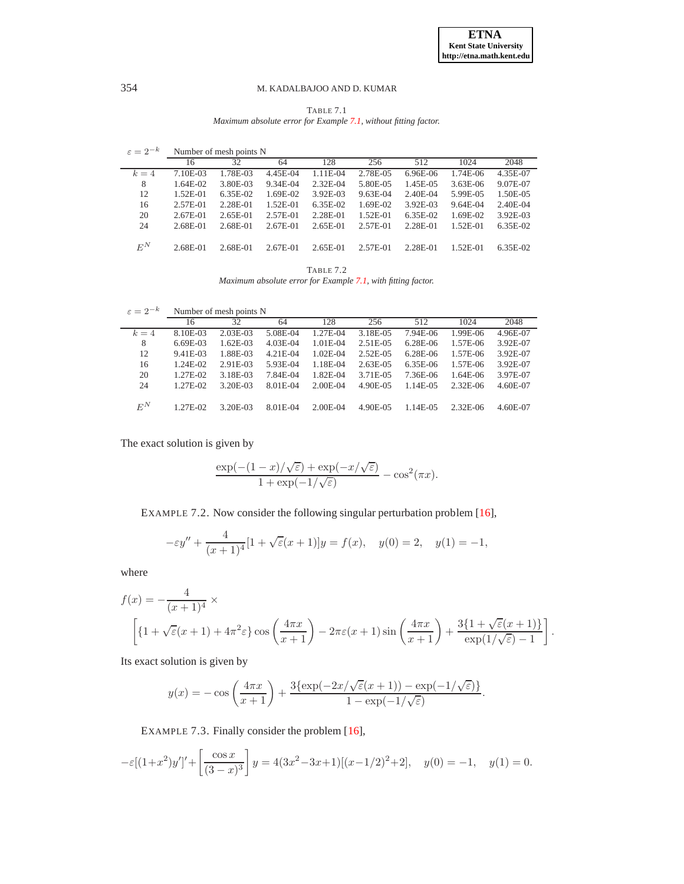TABLE 7.1 *Maximum absolute error for Example [7.1,](#page-7-2) without fitting factor.*

<span id="page-8-0"></span>

| $\varepsilon = 2^{-k}$ | Number of mesh points N |            |              |          |            |          |            |              |  |
|------------------------|-------------------------|------------|--------------|----------|------------|----------|------------|--------------|--|
|                        | 16                      | 32         | 64           | 128      | 256        | 512      | 1024       | 2048         |  |
| $k=4$                  | 7.10E-03                | 1.78E-03   | 4.45E-04     | 1.11E-04 | 2.78E-05   | 6.96E-06 | 1.74E-06   | 4.35E-07     |  |
| 8                      | 1.64E-02                | 3.80E-03   | 9.34E-04     | 2.32E-04 | 5.80E-05   | 1.45E-05 | $3.63E-06$ | 9.07E-07     |  |
| 12                     | $1.52E-01$              | $6.35E-02$ | 1.69E-02     | 3.92E-03 | $9.63E-04$ | 2.40E-04 | 5.99E-05   | 1.50E-05     |  |
| 16                     | 2.57E-01                | 2.28E-01   | $1.52E - 01$ | 6.35E-02 | 1.69E-02   | 3.92E-03 | $9.64E-04$ | $2.40E - 04$ |  |
| 20                     | 2.67E-01                | 2.65E-01   | 2.57E-01     | 2.28E-01 | $1.52E-01$ | 6.35E-02 | 1.69E-02   | 3.92E-03     |  |
| 24                     | 2.68E-01                | 2.68E-01   | 2.67E-01     | 2.65E-01 | 2.57E-01   | 2.28E-01 | 1.52E-01   | $6.35E-02$   |  |
| $E^N$                  | 2.68E-01                | 2.68E-01   | 2.67E-01     | 2.65E-01 | 2.57E-01   | 2.28E-01 | $1.52E-01$ | $6.35E-02$   |  |

TABLE 7.2 *Maximum absolute error for Example [7.1,](#page-7-2) with fitting factor.*

 $\varepsilon = 2^{-k}$  Number of mesh points N

| $\sim -$ | TValifoci of filesh politis TV |            |            |            |            |              |            |          |
|----------|--------------------------------|------------|------------|------------|------------|--------------|------------|----------|
|          | 16                             | 32         | 64         | 128        | 256        | 512          | 1024       | 2048     |
| $k=4$    | 8.10E-03                       | $2.03E-03$ | 5.08E-04   | 1.27E-04   | 3.18E-05   | 7.94E-06     | 1.99E-06   | 4.96E-07 |
| 8        | $6.69E-03$                     | $1.62E-03$ | $4.03E-04$ | $1.01E-04$ | 2.51E-05   | $6.28E - 06$ | 1.57E-06   | 3.92E-07 |
| 12       | 9.41E-03                       | 1.88E-03   | $4.21E-04$ | 1.02E-04   | $2.52E-05$ | $6.28E - 06$ | 1.57E-06   | 3.92E-07 |
| 16       | 1.24E-02                       | 2.91E-03   | 5.93E-04   | 1.18E-04   | $2.63E-05$ | $6.35E-06$   | 1.57E-06   | 3.92E-07 |
| 20       | 1.27E-02                       | 3.18E-03   | 7.84E-04   | 1.82E-04   | 3.71E-05   | 7.36E-06     | 1.64E-06   | 3.97E-07 |
| 24       | $1.27E-02$                     | 3.20E-03   | 8.01E-04   | $2.00E-04$ | 4.90E-05   | $1.14E-0.5$  | $2.32E-06$ | 4.60E-07 |
| $E^N$    | 1.27E-02                       | 3.20E-03   | 8.01E-04   | $2.00E-04$ | 4.90E-05   | $1.14E-0.5$  | $2.32E-06$ | 4.60E-07 |

<span id="page-8-1"></span>The exact solution is given by

$$
\frac{\exp(-(1-x)/\sqrt{\varepsilon})+\exp(-x/\sqrt{\varepsilon})}{1+\exp(-1/\sqrt{\varepsilon})}-\cos^2(\pi x).
$$

EXAMPLE 7.2. Now consider the following singular perturbation problem [\[16\]](#page-12-9),

$$
-\varepsilon y'' + \frac{4}{(x+1)^4} [1 + \sqrt{\varepsilon}(x+1)]y = f(x), \quad y(0) = 2, \quad y(1) = -1,
$$

where

$$
f(x) = -\frac{4}{(x+1)^4} \times \left[ \left\{ 1 + \sqrt{\varepsilon}(x+1) + 4\pi^2 \varepsilon \right\} \cos\left(\frac{4\pi x}{x+1}\right) - 2\pi \varepsilon (x+1) \sin\left(\frac{4\pi x}{x+1}\right) + \frac{3\{1 + \sqrt{\varepsilon}(x+1)\}}{\exp(1/\sqrt{\varepsilon}) - 1} \right].
$$

Its exact solution is given by

$$
y(x) = -\cos\left(\frac{4\pi x}{x+1}\right) + \frac{3\{\exp(-2x/\sqrt{\varepsilon}(x+1)) - \exp(-1/\sqrt{\varepsilon})\}}{1 - \exp(-1/\sqrt{\varepsilon})}.
$$

EXAMPLE 7.3. Finally consider the problem [\[16\]](#page-12-9),

<span id="page-8-2"></span>
$$
-\varepsilon[(1+x^2)y']' + \left[\frac{\cos x}{(3-x)^3}\right]y = 4(3x^2 - 3x + 1)[(x-1/2)^2 + 2], \quad y(0) = -1, \quad y(1) = 0.
$$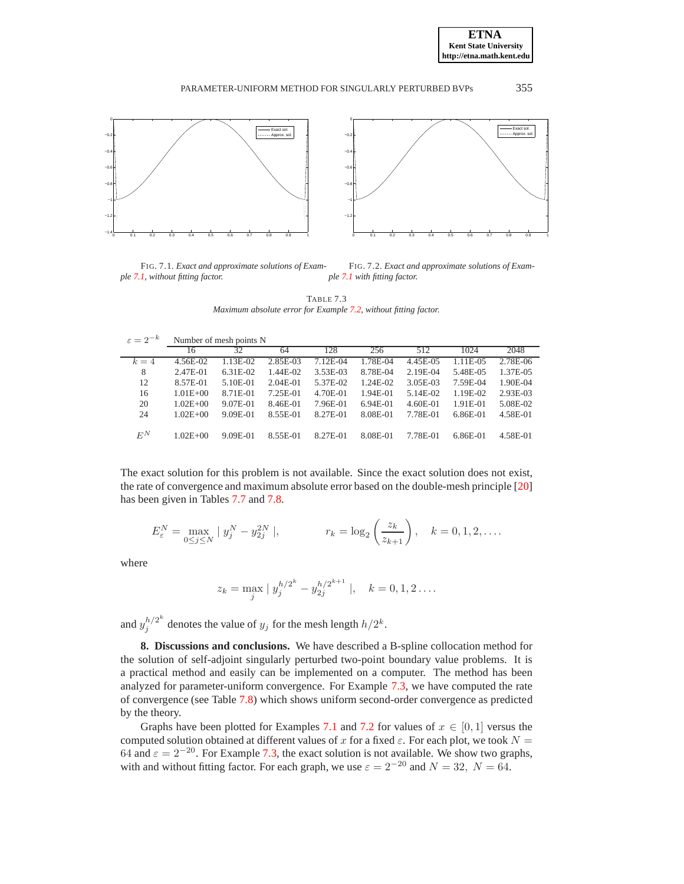

<span id="page-9-0"></span>FIG. 7.1. *Exact and approximate solutions of Example [7.1,](#page-7-2) without fitting factor.* FIG. 7.2. *Exact and approximate solutions of Example [7.1](#page-7-2) with fitting factor.*

<span id="page-9-1"></span>TABLE 7.3 *Maximum absolute error for Example [7.2,](#page-8-1) without fitting factor.*

| $\varepsilon = 2^{-k}$ | Number of mesh points N |           |            |          |            |            |            |          |  |
|------------------------|-------------------------|-----------|------------|----------|------------|------------|------------|----------|--|
|                        | 16                      | 32        | 64         | 128      | 256        | 512        | 1024       | 2048     |  |
| $k=4$                  | 4.56E-02                | $.13E-02$ | 2.85E-03   | 7.12E-04 | 1.78E-04   | 4.45E-05   | 1.11E-05   | 2.78E-06 |  |
| 8                      | 2.47E-01                | 6.31E-02  | 1.44E-02   | 3.53E-03 | 8.78E-04   | $2.19E-04$ | 5.48E-05   | 1.37E-05 |  |
| 12                     | 8.57E-01                | 5.10E-01  | $2.04E-01$ | 5.37E-02 | 1.24E-02   | 3.05E-03   | 7.59E-04   | 1.90E-04 |  |
| 16                     | $1.01E + 00$            | 8.71E-01  | 7.25E-01   | 4.70E-01 | $1.94E-01$ | 5.14E-02   | 1.19E-02   | 2.93E-03 |  |
| 20                     | $1.02E + 00$            | 9.07E-01  | 8.46E-01   | 7.96E-01 | $6.94E-01$ | 4.60E-01   | $1.91E-01$ | 5.08E-02 |  |
| 24                     | $1.02E + 00$            | 9.09E-01  | 8.55E-01   | 8.27E-01 | 8.08E-01   | 7.78E-01   | 6.86E-01   | 4.58E-01 |  |
|                        |                         |           |            |          |            |            |            |          |  |
| $E^N$                  | $1.02E + 00$            | 9.09E-01  | 8.55E-01   | 8.27E-01 | 8.08E-01   | 7.78E-01   | 6.86E-01   | 4.58E-01 |  |

The exact solution for this problem is not available. Since the exact solution does not exist, the rate of convergence and maximum absolute error based on the double-mesh principle [\[20\]](#page-12-13) has been given in Tables [7.7](#page-12-14) and [7.8.](#page-12-15)

$$
E_{\varepsilon}^{N} = \max_{0 \le j \le N} |y_{j}^{N} - y_{2j}^{2N}|, \qquad r_{k} = \log_{2} \left( \frac{z_{k}}{z_{k+1}} \right), \quad k = 0, 1, 2, \dots.
$$

where

$$
z_k = \max_j |y_j^{h/2^k} - y_{2j}^{h/2^{k+1}}|, \quad k = 0, 1, 2 \dots
$$

and  $y_j^{h/2^k}$  $j_j^{h/2^{\infty}}$  denotes the value of  $y_j$  for the mesh length  $h/2^k$ .

**8. Discussions and conclusions.** We have described a B-spline collocation method for the solution of self-adjoint singularly perturbed two-point boundary value problems. It is a practical method and easily can be implemented on a computer. The method has been analyzed for parameter-uniform convergence. For Example [7.3,](#page-8-2) we have computed the rate of convergence (see Table [7.8\)](#page-12-15) which shows uniform second-order convergence as predicted by the theory.

Graphs have been plotted for Examples [7.1](#page-7-2) and [7.2](#page-8-1) for values of  $x \in [0, 1]$  versus the computed solution obtained at different values of x for a fixed  $\varepsilon$ . For each plot, we took  $N =$ 64 and  $\varepsilon = 2^{-20}$ . For Example [7.3,](#page-8-2) the exact solution is not available. We show two graphs, with and without fitting factor. For each graph, we use  $\varepsilon = 2^{-20}$  and  $N = 32$ ,  $N = 64$ .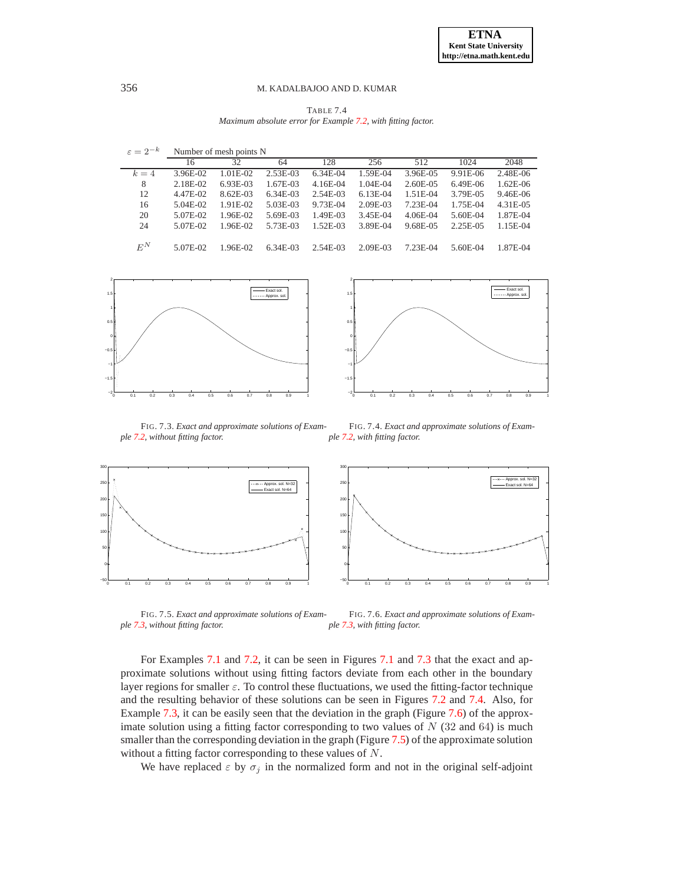TABLE 7.4 *Maximum absolute error for Example [7.2,](#page-8-1) with fitting factor.*

| $\varepsilon = 2^{-k}$ | Number of mesh points N |            |            |            |            |            |          |              |  |
|------------------------|-------------------------|------------|------------|------------|------------|------------|----------|--------------|--|
|                        | 16                      | 32         | 64         | 128        | 256        | 512        | 1024     | 2048         |  |
| $k=4$                  | 3.96E-02                | 1.01E-02   | $2.53E-03$ | 6.34E-04   | 1.59E-04   | 3.96E-05   | 9.91E-06 | 2.48E-06     |  |
| 8                      | 2.18E-02                | $6.93E-03$ | 1.67E-03   | $4.16E-04$ | 1.04E-04   | 2.60E-05   | 6.49E-06 | $1.62E-06$   |  |
| 12                     | 4.47E-02                | 8.62E-03   | $6.34E-03$ | 2.54E-03   | $6.13E-04$ | 1.51E-04   | 3.79E-05 | $9.46E - 06$ |  |
| 16                     | $5.04E-02$              | $1.91E-02$ | 5.03E-03   | 9.73E-04   | 2.09E-03   | 7.23E-04   | 1.75E-04 | 4.31E-05     |  |
| 20                     | 5.07E-02                | 1.96E-02   | 5.69E-03   | 1.49E-03   | 3.45E-04   | $4.06E-04$ | 5.60E-04 | 1.87E-04     |  |
| 24                     | 5.07E-02                | 1.96E-02   | 5.73E-03   | $1.52E-03$ | 3.89E-04   | 9.68E-05   | 2.25E-05 | 1.15E-04     |  |
| $E^N$                  | 5.07E-02                | 1.96E-02   | $6.34E-03$ | 2.54E-03   | 2.09E-03   | 7.23E-04   | 5.60E-04 | 1.87E-04     |  |



<span id="page-10-1"></span>

<span id="page-10-0"></span>FIG. 7.3. *Exact and approximate solutions of Example [7.2,](#page-8-1) without fitting factor.* FIG. 7.4. *Exact and approximate solutions of Example [7.2,](#page-8-1) with fitting factor.*



<span id="page-10-3"></span>FIG. 7.5. *Exact and approximate solutions of Example [7.3,](#page-8-2) without fitting factor.*

<span id="page-10-2"></span>FIG. 7.6. *Exact and approximate solutions of Example [7.3,](#page-8-2) with fitting factor.*

For Examples [7.1](#page-7-2) and [7.2,](#page-8-1) it can be seen in Figures [7.1](#page-9-0) and [7.3](#page-10-0) that the exact and approximate solutions without using fitting factors deviate from each other in the boundary layer regions for smaller  $\varepsilon$ . To control these fluctuations, we used the fitting-factor technique and the resulting behavior of these solutions can be seen in Figures [7.2](#page-9-1) and [7.4.](#page-10-1) Also, for Example [7.3,](#page-8-2) it can be easily seen that the deviation in the graph (Figure [7.6\)](#page-10-2) of the approximate solution using a fitting factor corresponding to two values of  $N$  (32 and 64) is much smaller than the corresponding deviation in the graph (Figure [7.5\)](#page-10-3) of the approximate solution without a fitting factor corresponding to these values of N.

We have replaced  $\varepsilon$  by  $\sigma_j$  in the normalized form and not in the original self-adjoint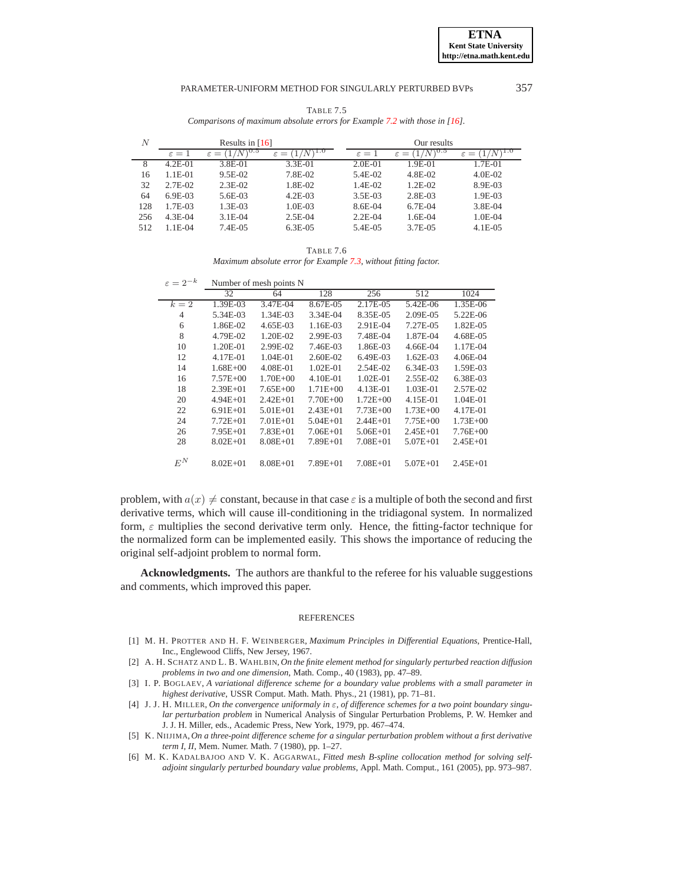| TABLE 7.5                                                                     |
|-------------------------------------------------------------------------------|
| Comparisons of maximum absolute errors for Example 7.2 with those in $[16]$ . |

| N   | Results in $[16]$ |                |                            |  | Our results     |                        |             |  |
|-----|-------------------|----------------|----------------------------|--|-----------------|------------------------|-------------|--|
|     | $\varepsilon=1$   | /V<br>ε<br>$=$ | .l.U<br>ε<br>$=$<br>$1V$ ) |  | $\varepsilon=1$ | 6.U<br>1/N<br>ε<br>$=$ | ε<br>$=$    |  |
| 8   | $4.2E - 01$       | 3.8E-01        | $3.3E-01$                  |  | $2.0E-01$       | $1.9E-01$              | 1.7E-01     |  |
| 16  | $1.1E-01$         | $9.5E-02$      | 7.8E-02                    |  | 5.4E-02         | 4.8E-02                | $4.0E - 02$ |  |
| 32  | $2.7E-02$         | $2.3E-02$      | 1.8E-02                    |  | 1.4E-02         | 1.2E-02                | 8.9E-03     |  |
| 64  | $6.9E-03$         | $5.6E-03$      | $4.2E-03$                  |  | 3.5E-03         | 2.8E-03                | 1.9E-03     |  |
| 128 | 1.7E-03           | 1.3E-03        | 1.0E-03                    |  | 8.6E-04         | $6.7E-04$              | 3.8E-04     |  |
| 256 | $4.3E-04$         | $3.1E-04$      | $2.5E-04$                  |  | $2.2E-04$       | 1.6E-04                | 1.0E-04     |  |
| 512 | $1.1E-04$         | 7.4E-05        | $6.3E-0.5$                 |  | 5.4E-05         | 3.7E-05                | $4.1E-05$   |  |

TABLE 7.6 *Maximum absolute error for Example [7.3,](#page-8-2) without fitting factor.*

| $\varepsilon = 2^{-k}$ | Number of mesh points N |              |              |              |              |              |  |  |
|------------------------|-------------------------|--------------|--------------|--------------|--------------|--------------|--|--|
|                        | 32                      | 64           | 128          | 256          | 512          | 1024         |  |  |
| $k=2$                  | 1.39E-03                | 3.47E-04     | 8.67E-05     | 2.17E-05     | 5.42E-06     | 1.35E-06     |  |  |
| $\overline{4}$         | 5.34E-03                | 1.34E-03     | 3.34E-04     | 8.35E-05     | 2.09E-05     | 5.22E-06     |  |  |
| 6                      | 1.86E-02                | 4.65E-03     | 1.16E-03     | 2.91E-04     | 7.27E-05     | 1.82E-05     |  |  |
| 8                      | 4.79E-02                | 1.20E-02     | 2.99E-03     | 7.48E-04     | 1.87E-04     | 4.68E-05     |  |  |
| 10                     | 1.20E-01                | 2.99E-02     | 7.46E-03     | 1.86E-03     | 4.66E-04     | 1.17E-04     |  |  |
| 12                     | 4.17E-01                | $1.04E - 01$ | $2.60E-02$   | $6.49E-03$   | $1.62E-03$   | 4.06E-04     |  |  |
| 14                     | $1.68E + 00$            | 4.08E-01     | $1.02E - 01$ | $2.54E-02$   | $6.34E-03$   | 1.59E-03     |  |  |
| 16                     | $7.57E + 00$            | $1.70E + 00$ | 4.10E-01     | $1.02E - 01$ | 2.55E-02     | 6.38E-03     |  |  |
| 18                     | $2.39E + 01$            | $7.65E + 00$ | $1.71E + 00$ | 4.13E-01     | 1.03E-01     | 2.57E-02     |  |  |
| 20                     | $4.94E + 01$            | $2.42E + 01$ | $7.70E + 00$ | $1.72E + 00$ | 4.15E-01     | $1.04E - 01$ |  |  |
| 22                     | $6.91E+01$              | $5.01E + 01$ | $2.43E + 01$ | $7.73E + 00$ | $1.73E + 00$ | 4.17E-01     |  |  |
| 24                     | $7.72E + 01$            | $7.01E + 01$ | $5.04E + 01$ | $2.44E + 01$ | $7.75E + 00$ | $1.73E + 00$ |  |  |
| 26                     | $7.95E + 01$            | $7.83E + 01$ | $7.06E + 01$ | $5.06E + 01$ | $2.45E + 01$ | $7.76E + 00$ |  |  |
| 28                     | $8.02E + 01$            | $8.08E + 01$ | $7.89E + 01$ | $7.08E + 01$ | $5.07E + 01$ | $2.45E + 01$ |  |  |
| $E^N$                  | $8.02E + 01$            | $8.08E + 01$ | $7.89E + 01$ | $7.08E + 01$ | $5.07E + 01$ | $2.45E + 01$ |  |  |

problem, with  $a(x) \neq$  constant, because in that case  $\varepsilon$  is a multiple of both the second and first derivative terms, which will cause ill-conditioning in the tridiagonal system. In normalized form,  $\varepsilon$  multiplies the second derivative term only. Hence, the fitting-factor technique for the normalized form can be implemented easily. This shows the importance of reducing the original self-adjoint problem to normal form.

**Acknowledgments.** The authors are thankful to the referee for his valuable suggestions and comments, which improved this paper.

#### REFERENCES

- <span id="page-11-0"></span>[1] M. H. PROTTER AND H. F. WEINBERGER, *Maximum Principles in Differential Equations*, Prentice-Hall, Inc., Englewood Cliffs, New Jersey, 1967.
- <span id="page-11-1"></span>[2] A. H. SCHATZ AND L. B. WAHLBIN, *On the finite element method for singularly perturbed reaction diffusion problems in two and one dimension*, Math. Comp., 40 (1983), pp. 47–89.
- <span id="page-11-2"></span>[3] I. P. BOGLAEV, *A variational difference scheme for a boundary value problems with a small parameter in highest derivative*, USSR Comput. Math. Math. Phys., 21 (1981), pp. 71–81.
- <span id="page-11-3"></span>[4] J. J. H. MILLER, *On the convergence uniformaly in* ε*, of difference schemes for a two point boundary singular perturbation problem* in Numerical Analysis of Singular Perturbation Problems, P. W. Hemker and J. J. H. Miller, eds., Academic Press, New York, 1979, pp. 467–474.
- <span id="page-11-4"></span>[5] K. NIIJIMA,*On a three-point difference scheme for a singular perturbation problem without a first derivative term I, II*, Mem. Numer. Math. 7 (1980), pp. 1–27.
- <span id="page-11-5"></span>[6] M. K. KADALBAJOO AND V. K. AGGARWAL, *Fitted mesh B-spline collocation method for solving selfadjoint singularly perturbed boundary value problems*, Appl. Math. Comput., 161 (2005), pp. 973–987.